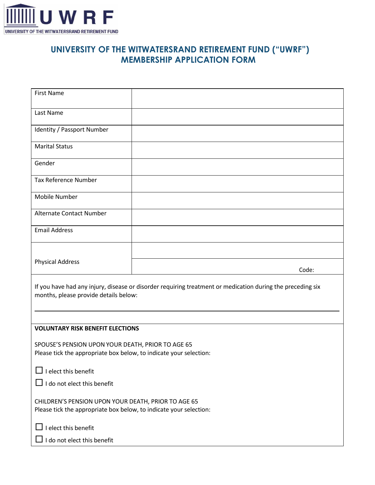

## **UNIVERSITY OF THE WITWATERSRAND RETIREMENT FUND ("UWRF") MEMBERSHIP APPLICATION FORM**

| <b>First Name</b>                                                                                                                                   |       |  |
|-----------------------------------------------------------------------------------------------------------------------------------------------------|-------|--|
| Last Name                                                                                                                                           |       |  |
| Identity / Passport Number                                                                                                                          |       |  |
| <b>Marital Status</b>                                                                                                                               |       |  |
| Gender                                                                                                                                              |       |  |
| <b>Tax Reference Number</b>                                                                                                                         |       |  |
| Mobile Number                                                                                                                                       |       |  |
| <b>Alternate Contact Number</b>                                                                                                                     |       |  |
| <b>Email Address</b>                                                                                                                                |       |  |
|                                                                                                                                                     |       |  |
| <b>Physical Address</b>                                                                                                                             | Code: |  |
| If you have had any injury, disease or disorder requiring treatment or medication during the preceding six<br>months, please provide details below: |       |  |
|                                                                                                                                                     |       |  |
| <b>VOLUNTARY RISK BENEFIT ELECTIONS</b>                                                                                                             |       |  |
| SPOUSE'S PENSION UPON YOUR DEATH, PRIOR TO AGE 65<br>Please tick the appropriate box below, to indicate your selection:                             |       |  |
| I elect this benefit                                                                                                                                |       |  |
| I do not elect this benefit                                                                                                                         |       |  |
| CHILDREN'S PENSION UPON YOUR DEATH, PRIOR TO AGE 65<br>Please tick the appropriate box below, to indicate your selection:                           |       |  |
| I elect this benefit                                                                                                                                |       |  |
| I do not elect this benefit                                                                                                                         |       |  |